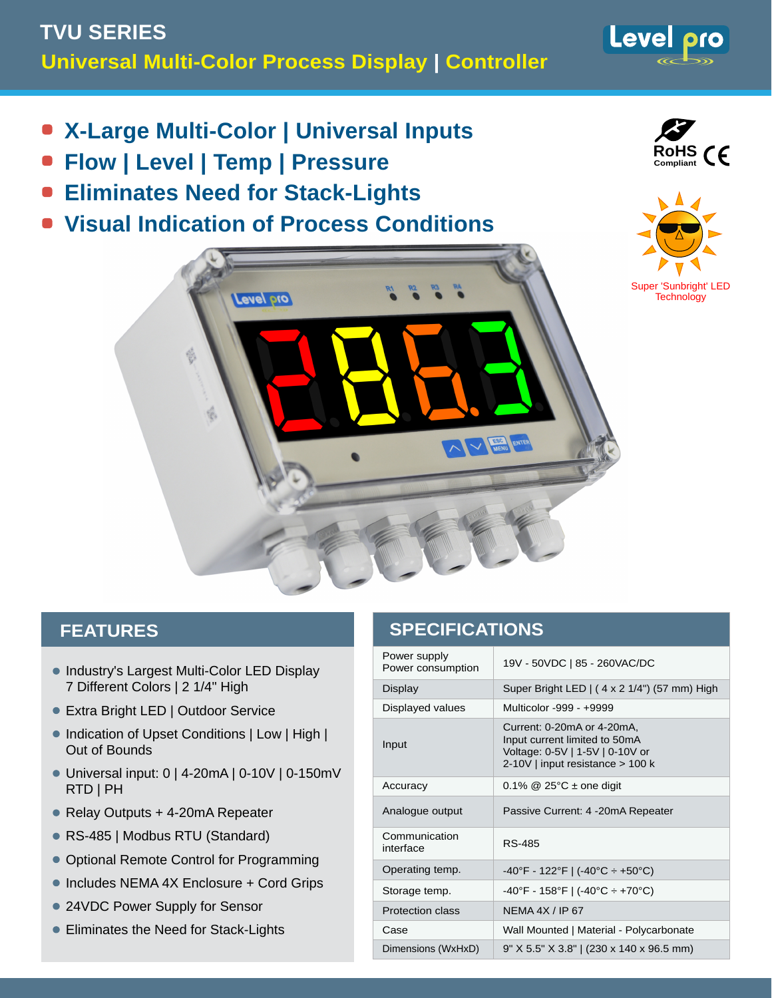- **X-Large Multi-Color | Universal Inputs**
- **Flow | Level | Temp | Pressure**
- **Eliminates Need for Stack-Lights**
- **Visual Indication of Process Conditions**



Level pro





### **FEATURES**

- Industry's Largest Multi-Color LED Display 7 Different Colors | 2 1/4" High
- Extra Bright LED | Outdoor Service
- Indication of Upset Conditions | Low | High | Out of Bounds
- Universal input: 0 | 4-20mA | 0-10V | 0-150mV RTD | PH
- Relay Outputs + 4-20mA Repeater
- RS-485 | Modbus RTU (Standard)
- Optional Remote Control for Programming
- Includes NEMA 4X Enclosure + Cord Grips
- 24VDC Power Supply for Sensor
- Eliminates the Need for Stack-Lights

## **SPECIFICATIONS**

| 19V - 50VDC   85 - 260VAC/DC                                                                                                       |
|------------------------------------------------------------------------------------------------------------------------------------|
| Super Bright LED   (4 x 2 1/4") (57 mm) High                                                                                       |
| Multicolor -999 - +9999                                                                                                            |
| Current: 0-20mA or 4-20mA,<br>Input current limited to 50mA<br>Voltage: 0-5V   1-5V   0-10V or<br>2-10V   input resistance > 100 k |
| $0.1\%$ @ 25°C $\pm$ one digit                                                                                                     |
| Passive Current: 4 -20mA Repeater                                                                                                  |
| RS-485                                                                                                                             |
| $-40^{\circ}$ F - 122 $^{\circ}$ F   ( $-40^{\circ}$ C ÷ +50 $^{\circ}$ C)                                                         |
| $-40^{\circ}$ F - 158 $^{\circ}$ F   (-40 $^{\circ}$ C ÷ +70 $^{\circ}$ C)                                                         |
| NFMA $4X / IP$ 67                                                                                                                  |
| Wall Mounted   Material - Polycarbonate                                                                                            |
| 9" X 5.5" X 3.8"   (230 x 140 x 96.5 mm)                                                                                           |
|                                                                                                                                    |